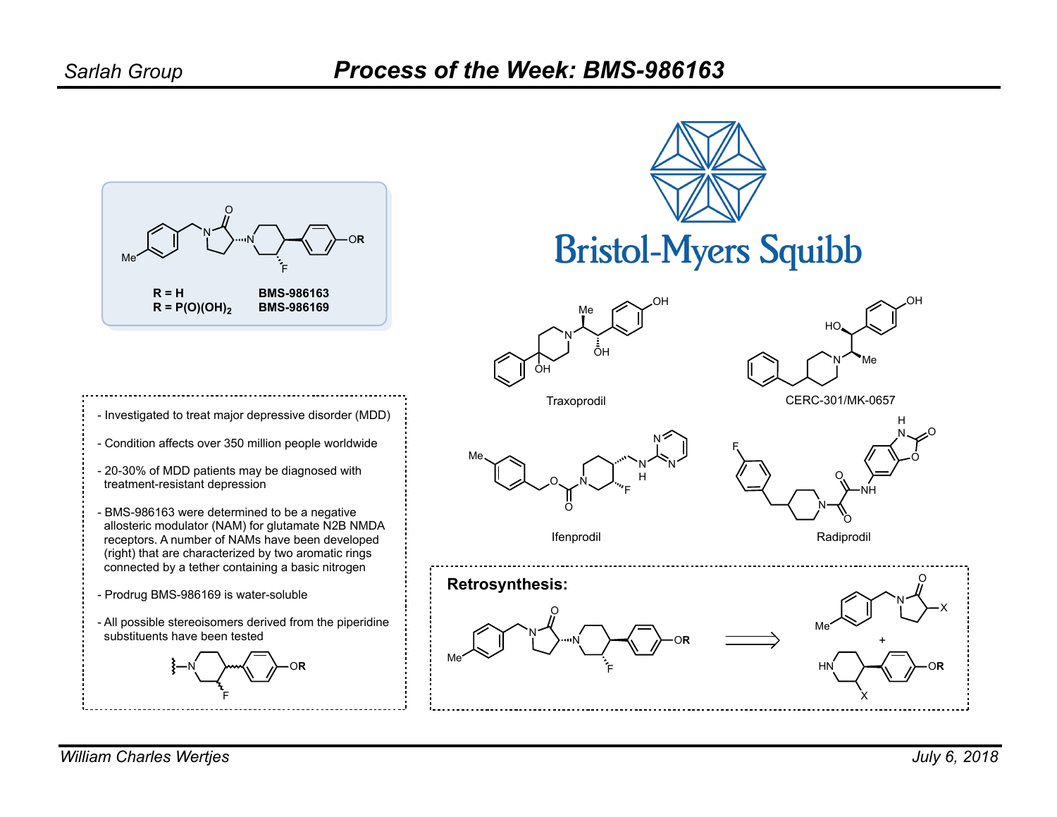



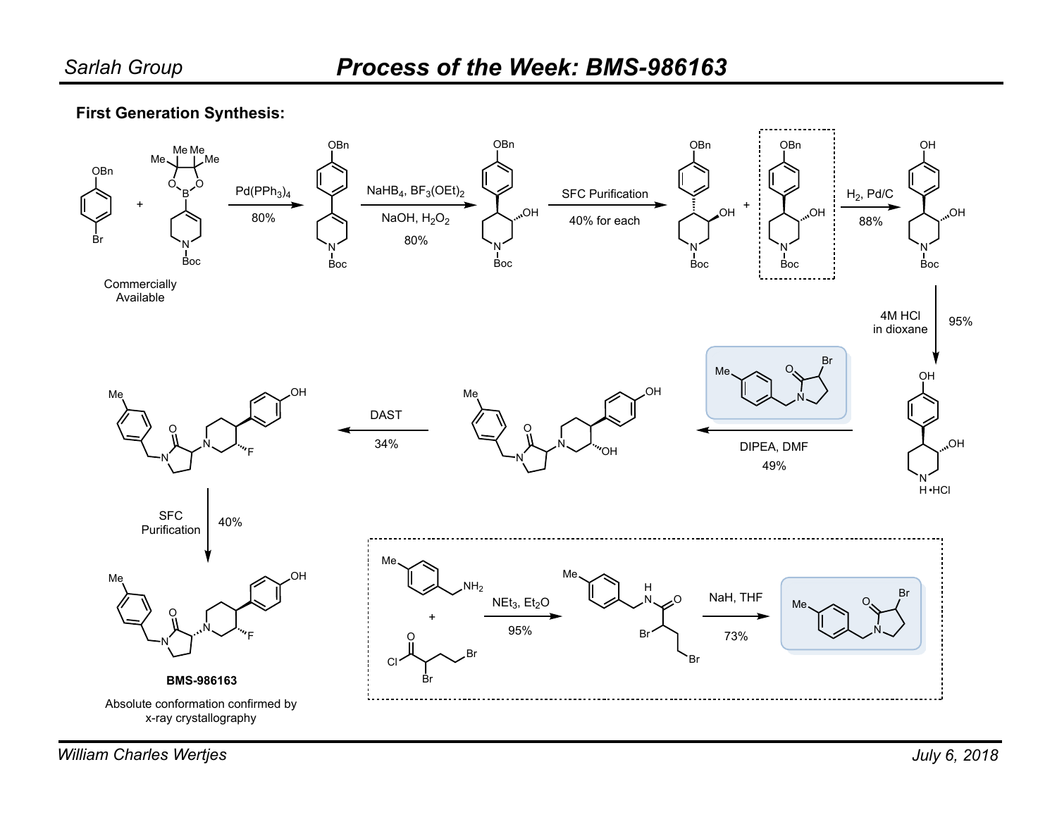## **First Generation Synthesis:**

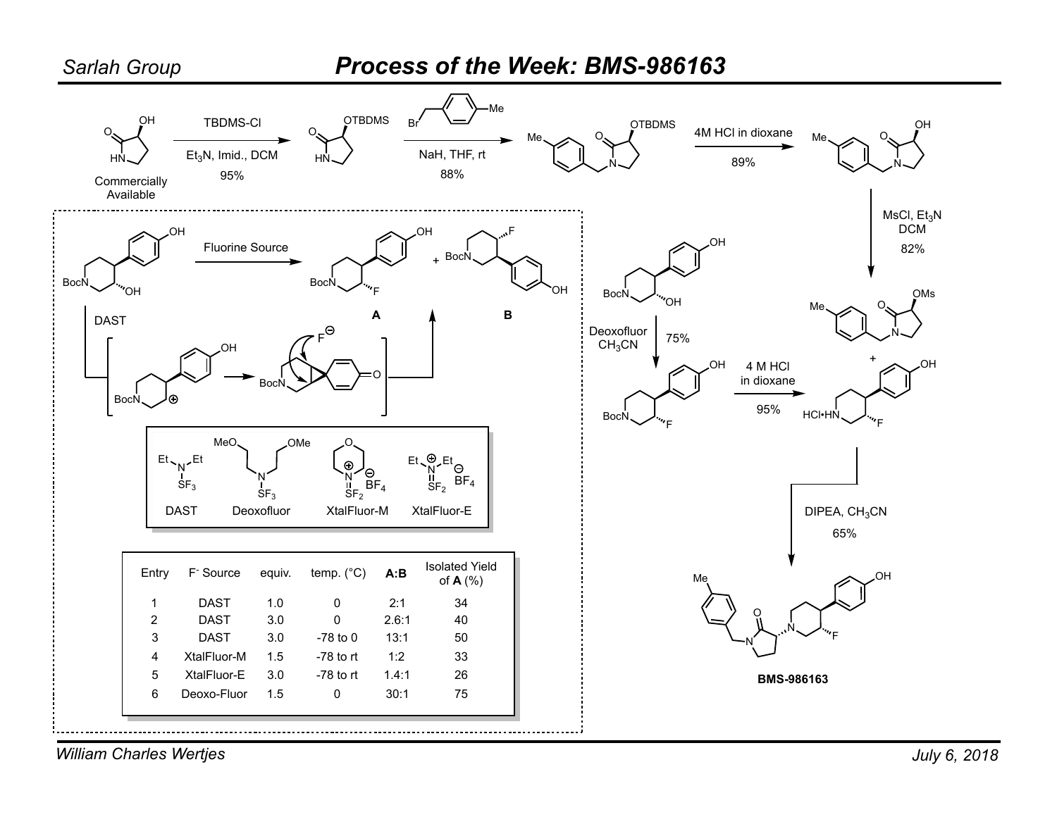

*William Charles Wertjes*